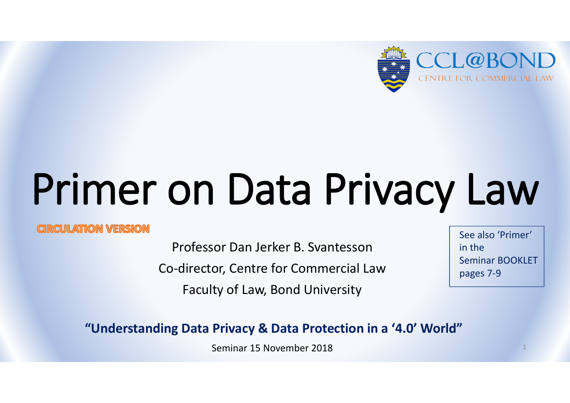

# Primer on Data Privacy Law

#### **CIRCUILATION VERSION**

Professor Dan Jerker B. Svantesson Co-director, Centre for Commercial Law Faculty of Law, Bond University

See also 'Primer' in the Seminar BOOKLET pages 7-9

**"Understanding Data Privacy & Data Protection in a '4.0' World"** 

Seminar 15 November 2018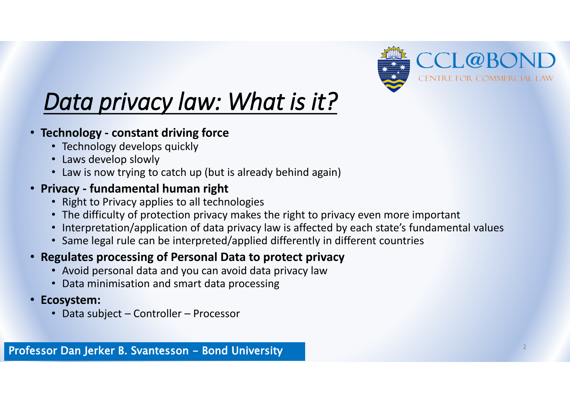

## *Data privacy law: What is it?*

- **Technology - constant driving force**
	- Technology develops quickly
	- Laws develop slowly
	- Law is now trying to catch up (but is already behind again)

#### • **Privacy - fundamental human right**

- Right to Privacy applies to all technologies
- The difficulty of protection privacy makes the right to privacy even more important
- Interpretation/application of data privacy law is affected by each state's fundamental values
- Same legal rule can be interpreted/applied differently in different countries

#### • **Regulates processing of Personal Data to protect privacy**

- Avoid personal data and you can avoid data privacy law
- Data minimisation and smart data processing
- **Ecosystem:** 
	- Data subject Controller Processor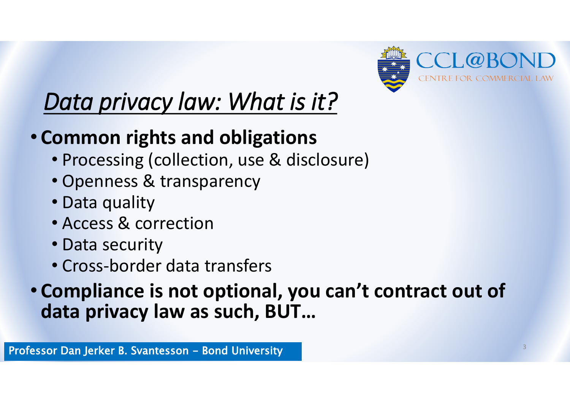

## *Data privacy law: What is it?*

### • **Common rights and obligations**

- Processing (collection, use & disclosure)
- Openness & transparency
- Data quality
- Access & correction
- Data security
- Cross-border data transfers

#### • **Compliance is not optional, you can't contract out of data privacy law as such, BUT…**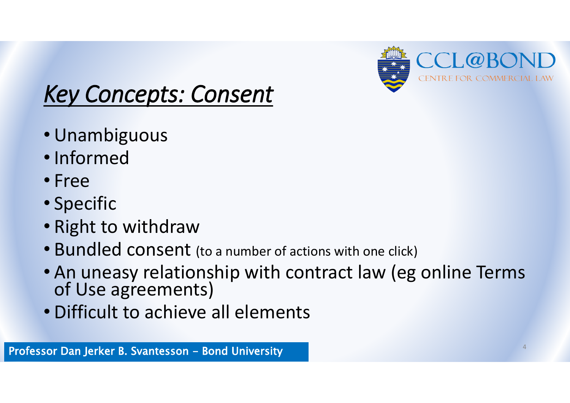

### *Key Concepts: Consent*

- Unambiguous
- Informed
- Free
- Specific
- Right to withdraw
- Bundled consent (to a number of actions with one click)
- An uneasy relationship with contract law (eg online Terms of Use agreements)
- Difficult to achieve all elements